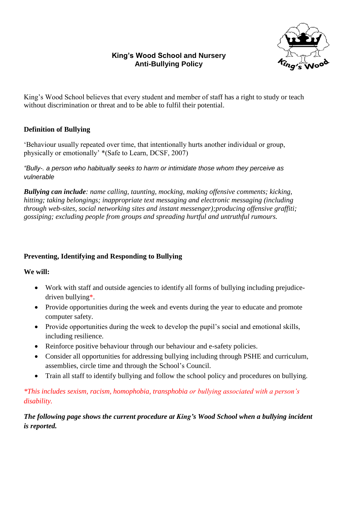# **King's Wood School and Nursery Anti-Bullying Policy**



King's Wood School believes that every student and member of staff has a right to study or teach without discrimination or threat and to be able to fulfil their potential.

# **Definition of Bullying**

'Behaviour usually repeated over time, that intentionally hurts another individual or group, physically or emotionally' \*(Safe to Learn, DCSF, 2007)

*"Bully-. a person who habitually seeks to harm or intimidate those whom they perceive as vulnerable*

*Bullying can include: name calling, taunting, mocking, making offensive comments; kicking, hitting; taking belongings; inappropriate text messaging and electronic messaging (including through web-sites, social networking sites and instant messenger);producing offensive graffiti; gossiping; excluding people from groups and spreading hurtful and untruthful rumours.* 

### **Preventing, Identifying and Responding to Bullying**

### **We will:**

- Work with staff and outside agencies to identify all forms of bullying including prejudicedriven bullying\*.
- Provide opportunities during the week and events during the year to educate and promote computer safety.
- Provide opportunities during the week to develop the pupil's social and emotional skills, including resilience.
- Reinforce positive behaviour through our behaviour and e-safety policies.
- Consider all opportunities for addressing bullying including through PSHE and curriculum, assemblies, circle time and through the School's Council.
- Train all staff to identify bullying and follow the school policy and procedures on bullying.

# *\*This includes sexism, racism, homophobia, transphobia or bullying associated with a person's disability.*

*The following page shows the current procedure at King's Wood School when a bullying incident is reported.*